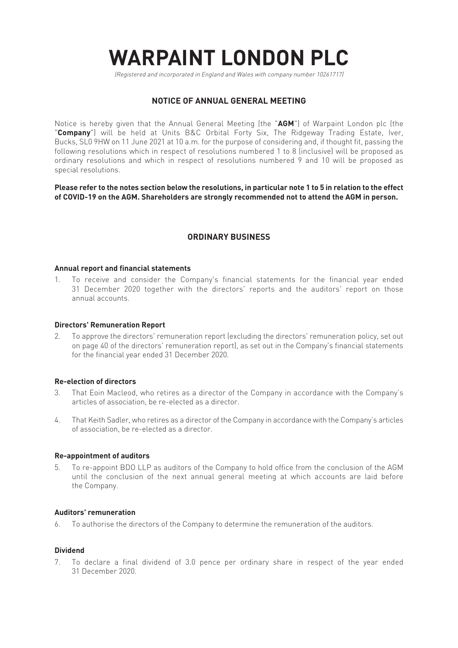# **WARPAINT LONDON PLC**

(Registered and incorporated in England and Wales with company number 10261717)

# **NOTICE OF ANNUAL GENERAL MEETING**

Notice is hereby given that the Annual General Meeting (the "**AGM**") of Warpaint London plc (the "**Company**") will be held at Units B&C Orbital Forty Six, The Ridgeway Trading Estate, Iver, Bucks, SL0 9HW on 11 June 2021 at 10 a.m. for the purpose of considering and, if thought fit, passing the following resolutions which in respect of resolutions numbered 1 to 8 (inclusive) will be proposed as ordinary resolutions and which in respect of resolutions numbered 9 and 10 will be proposed as special resolutions.

**Please refer to the notes section below the resolutions, in particular note 1 to 5 in relation to the effect of COVID-19 on the AGM. Shareholders are strongly recommended not to attend the AGM in person.**

# **ORDINARY BUSINESS**

## **Annual report and financial statements**

1. To receive and consider the Company's financial statements for the financial year ended 31 December 2020 together with the directors' reports and the auditors' report on those annual accounts.

# **Directors' Remuneration Report**

2. To approve the directors' remuneration report (excluding the directors' remuneration policy, set out on page 40 of the directors' remuneration report), as set out in the Company's financial statements for the financial year ended 31 December 2020.

## **Re-election of directors**

- 3. That Eoin Macleod, who retires as a director of the Company in accordance with the Company's articles of association, be re-elected as a director.
- 4. That Keith Sadler, who retires as a director of the Company in accordance with the Company's articles of association, be re-elected as a director.

## **Re-appointment of auditors**

5. To re-appoint BDO LLP as auditors of the Company to hold office from the conclusion of the AGM until the conclusion of the next annual general meeting at which accounts are laid before the Company.

## **Auditors' remuneration**

6. To authorise the directors of the Company to determine the remuneration of the auditors.

## **Dividend**

7. To declare a final dividend of 3.0 pence per ordinary share in respect of the year ended 31 December 2020.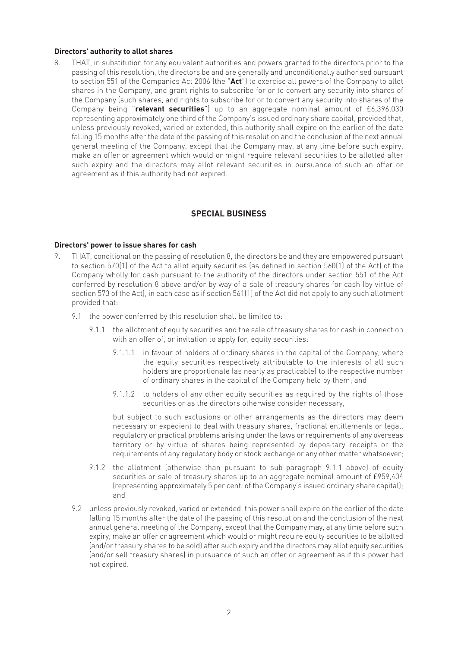# **Directors' authority to allot shares**

8. THAT, in substitution for any equivalent authorities and powers granted to the directors prior to the passing of this resolution, the directors be and are generally and unconditionally authorised pursuant to section 551 of the Companies Act 2006 (the "**Act**") to exercise all powers of the Company to allot shares in the Company, and grant rights to subscribe for or to convert any security into shares of the Company (such shares, and rights to subscribe for or to convert any security into shares of the Company being "**relevant securities**") up to an aggregate nominal amount of £6,396,030 representing approximately one third of the Company's issued ordinary share capital, provided that, unless previously revoked, varied or extended, this authority shall expire on the earlier of the date falling 15 months after the date of the passing of this resolution and the conclusion of the next annual general meeting of the Company, except that the Company may, at any time before such expiry, make an offer or agreement which would or might require relevant securities to be allotted after such expiry and the directors may allot relevant securities in pursuance of such an offer or agreement as if this authority had not expired.

# **SPECIAL BUSINESS**

# **Directors' power to issue shares for cash**

- 9. THAT, conditional on the passing of resolution 8, the directors be and they are empowered pursuant to section 570(1) of the Act to allot equity securities (as defined in section 560(1) of the Act) of the Company wholly for cash pursuant to the authority of the directors under section 551 of the Act conferred by resolution 8 above and/or by way of a sale of treasury shares for cash (by virtue of section 573 of the Act), in each case as if section 561(1) of the Act did not apply to any such allotment provided that:
	- 9.1 the power conferred by this resolution shall be limited to:
		- 9.1.1 the allotment of equity securities and the sale of treasury shares for cash in connection with an offer of, or invitation to apply for, equity securities:
			- 9.1.1.1 in favour of holders of ordinary shares in the capital of the Company, where the equity securities respectively attributable to the interests of all such holders are proportionate (as nearly as practicable) to the respective number of ordinary shares in the capital of the Company held by them; and
			- 9.1.1.2 to holders of any other equity securities as required by the rights of those securities or as the directors otherwise consider necessary,

 but subject to such exclusions or other arrangements as the directors may deem necessary or expedient to deal with treasury shares, fractional entitlements or legal, regulatory or practical problems arising under the laws or requirements of any overseas territory or by virtue of shares being represented by depositary receipts or the requirements of any regulatory body or stock exchange or any other matter whatsoever;

- 9.1.2 the allotment (otherwise than pursuant to sub-paragraph 9.1.1 above) of equity securities or sale of treasury shares up to an aggregate nominal amount of £959,404 (representing approximately 5 per cent. of the Company's issued ordinary share capital); and
- 9.2 unless previously revoked, varied or extended, this power shall expire on the earlier of the date falling 15 months after the date of the passing of this resolution and the conclusion of the next annual general meeting of the Company, except that the Company may, at any time before such expiry, make an offer or agreement which would or might require equity securities to be allotted (and/or treasury shares to be sold) after such expiry and the directors may allot equity securities (and/or sell treasury shares) in pursuance of such an offer or agreement as if this power had not expired.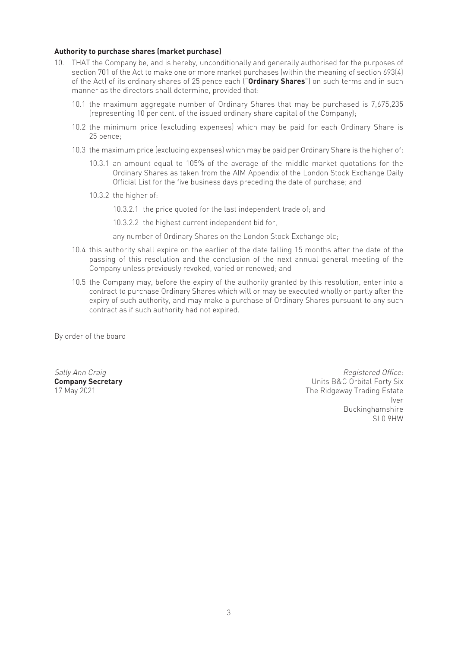# **Authority to purchase shares (market purchase)**

- 10. THAT the Company be, and is hereby, unconditionally and generally authorised for the purposes of section 701 of the Act to make one or more market purchases (within the meaning of section 693(4) of the Act) of its ordinary shares of 25 pence each ("**Ordinary Shares**") on such terms and in such manner as the directors shall determine, provided that:
	- 10.1 the maximum aggregate number of Ordinary Shares that may be purchased is 7,675,235 (representing 10 per cent. of the issued ordinary share capital of the Company);
	- 10.2 the minimum price (excluding expenses) which may be paid for each Ordinary Share is 25 pence;
	- 10.3 the maximum price (excluding expenses) which may be paid per Ordinary Share is the higher of:
		- 10.3.1 an amount equal to 105% of the average of the middle market quotations for the Ordinary Shares as taken from the AIM Appendix of the London Stock Exchange Daily Official List for the five business days preceding the date of purchase; and
		- 10.3.2 the higher of:
			- 10.3.2.1 the price quoted for the last independent trade of; and

10.3.2.2 the highest current independent bid for,

any number of Ordinary Shares on the London Stock Exchange plc;

- 10.4 this authority shall expire on the earlier of the date falling 15 months after the date of the passing of this resolution and the conclusion of the next annual general meeting of the Company unless previously revoked, varied or renewed; and
- 10.5 the Company may, before the expiry of the authority granted by this resolution, enter into a contract to purchase Ordinary Shares which will or may be executed wholly or partly after the expiry of such authority, and may make a purchase of Ordinary Shares pursuant to any such contract as if such authority had not expired.

By order of the board

Sally Ann Craig **Sally Ann Craig Registered Office: Company Secretary 19th Company Secretary** 17 May 2021<br>17 May 2021 The Ridgeway Trading Estate Iver the contract of the contract of the contract of the contract of the contract of the contract of the contract of the contract of the contract of the contract of the contract of the contract of the contract of the contr Buckinghamshire<br>SLO 9HW SL0 9HW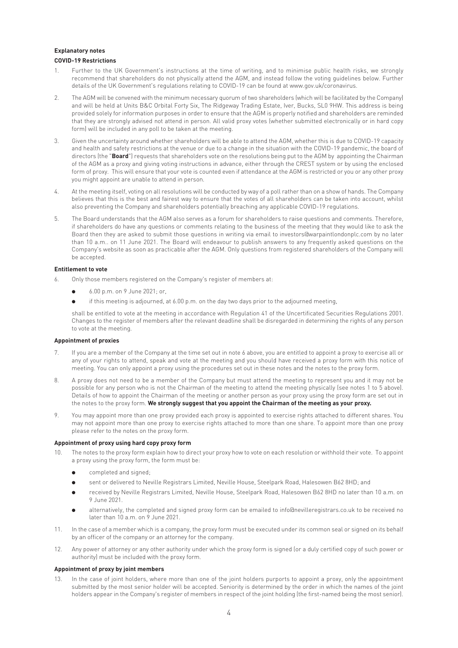## **Explanatory notes COVID-19 Restrictions**

- 1. Further to the UK Government's instructions at the time of writing, and to minimise public health risks, we strongly recommend that shareholders do not physically attend the AGM, and instead follow the voting guidelines below. Further details of the UK Government's regulations relating to COVID-19 can be found at www.gov.uk/coronavirus.
- 2. The AGM will be convened with the minimum necessary quorum of two shareholders (which will be facilitated by the Company) and will be held at Units B&C Orbital Forty Six, The Ridgeway Trading Estate, Iver, Bucks, SL0 9HW. This address is being provided solely for information purposes in order to ensure that the AGM is properly notified and shareholders are reminded that they are strongly advised not attend in person. All valid proxy votes (whether submitted electronically or in hard copy form) will be included in any poll to be taken at the meeting.
- 3. Given the uncertainty around whether shareholders will be able to attend the AGM, whether this is due to COVID-19 capacity and health and safety restrictions at the venue or due to a change in the situation with the COVID-19 pandemic, the board of directors (the "**Board**") requests that shareholders vote on the resolutions being put to the AGM by appointing the Chairman of the AGM as a proxy and giving voting instructions in advance, either through the CREST system or by using the enclosed form of proxy. This will ensure that your vote is counted even if attendance at the AGM is restricted or you or any other proxy you might appoint are unable to attend in person.
- 4. At the meeting itself, voting on all resolutions will be conducted by way of a poll rather than on a show of hands. The Company believes that this is the best and fairest way to ensure that the votes of all shareholders can be taken into account, whilst also preventing the Company and shareholders potentially breaching any applicable COVID-19 regulations.
- 5. The Board understands that the AGM also serves as a forum for shareholders to raise questions and comments. Therefore, if shareholders do have any questions or comments relating to the business of the meeting that they would like to ask the Board then they are asked to submit those questions in writing via email to investors@warpaintlondonplc.com by no later than 10 a.m.. on 11 June 2021. The Board will endeavour to publish answers to any frequently asked questions on the Company's website as soon as practicable after the AGM. Only questions from registered shareholders of the Company will be accepted.

#### **Entitlement to vote**

- 6. Only those members registered on the Company's register of members at:
	- l 6.00 p.m. on 9 June 2021; or,
	- if this meeting is adjourned, at 6.00 p.m. on the day two days prior to the adjourned meeting,

 shall be entitled to vote at the meeting in accordance with Regulation 41 of the Uncertificated Securities Regulations 2001. Changes to the register of members after the relevant deadline shall be disregarded in determining the rights of any person to vote at the meeting.

#### **Appointment of proxies**

- 7. If you are a member of the Company at the time set out in note 6 above, you are entitled to appoint a proxy to exercise all or any of your rights to attend, speak and vote at the meeting and you should have received a proxy form with this notice of meeting. You can only appoint a proxy using the procedures set out in these notes and the notes to the proxy form.
- 8. A proxy does not need to be a member of the Company but must attend the meeting to represent you and it may not be possible for any person who is not the Chairman of the meeting to attend the meeting physically (see notes 1 to 5 above). Details of how to appoint the Chairman of the meeting or another person as your proxy using the proxy form are set out in the notes to the proxy form. **We strongly suggest that you appoint the Chairman of the meeting as your proxy.**
- 9. You may appoint more than one proxy provided each proxy is appointed to exercise rights attached to different shares. You may not appoint more than one proxy to exercise rights attached to more than one share. To appoint more than one proxy please refer to the notes on the proxy form.

## **Appointment of proxy using hard copy proxy form**

- 10. The notes to the proxy form explain how to direct your proxy how to vote on each resolution or withhold their vote. To appoint a proxy using the proxy form, the form must be:
	- completed and signed;
	- sent or delivered to Neville Registrars Limited, Neville House, Steelpark Road, Halesowen B62 8HD; and
	- l received by Neville Registrars Limited, Neville House, Steelpark Road, Halesowen B62 8HD no later than 10 a.m. on 9 June 2021.
	- alternatively, the completed and signed proxy form can be emailed to info@nevilleregistrars.co.uk to be received no later than 10 a.m. on 9 June 2021.
- 11. In the case of a member which is a company, the proxy form must be executed under its common seal or signed on its behalf by an officer of the company or an attorney for the company.
- 12. Any power of attorney or any other authority under which the proxy form is signed (or a duly certified copy of such power or authority) must be included with the proxy form.

## **Appointment of proxy by joint members**

13. In the case of joint holders, where more than one of the joint holders purports to appoint a proxy, only the appointment submitted by the most senior holder will be accepted. Seniority is determined by the order in which the names of the joint holders appear in the Company's register of members in respect of the joint holding (the first-named being the most senior).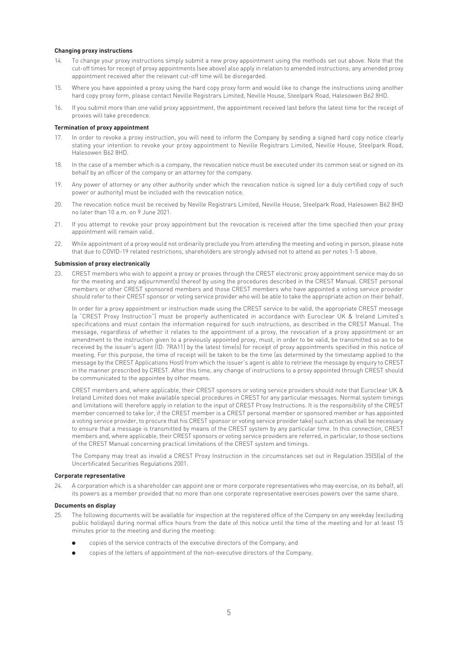#### **Changing proxy instructions**

- 14. To change your proxy instructions simply submit a new proxy appointment using the methods set out above. Note that the cut-off times for receipt of proxy appointments (see above) also apply in relation to amended instructions; any amended proxy appointment received after the relevant cut-off time will be disregarded.
- 15. Where you have appointed a proxy using the hard copy proxy form and would like to change the instructions using another hard copy proxy form, please contact Neville Registrars Limited, Neville House, Steelpark Road, Halesowen B62 8HD.
- 16. If you submit more than one valid proxy appointment, the appointment received last before the latest time for the receipt of proxies will take precedence.

#### **Termination of proxy appointment**

- 17. In order to revoke a proxy instruction, you will need to inform the Company by sending a signed hard copy notice clearly stating your intention to revoke your proxy appointment to Neville Registrars Limited, Neville House, Steelpark Road, Halesowen B62 8HD.
- 18. In the case of a member which is a company, the revocation notice must be executed under its common seal or signed on its behalf by an officer of the company or an attorney for the company.
- 19. Any power of attorney or any other authority under which the revocation notice is signed (or a duly certified copy of such power or authority) must be included with the revocation notice.
- 20. The revocation notice must be received by Neville Registrars Limited, Neville House, Steelpark Road, Halesowen B62 8HD no later than 10 a.m. on 9 June 2021.
- 21. If you attempt to revoke your proxy appointment but the revocation is received after the time specified then your proxy appointment will remain valid.
- 22. While appointment of a proxy would not ordinarily preclude you from attending the meeting and voting in person, please note that due to COVID-19 related restrictions, shareholders are strongly advised not to attend as per notes 1-5 above.

#### **Submission of proxy electronically**

23. CREST members who wish to appoint a proxy or proxies through the CREST electronic proxy appointment service may do so for the meeting and any adjournment(s) thereof by using the procedures described in the CREST Manual. CREST personal members or other CREST sponsored members and those CREST members who have appointed a voting service provider should refer to their CREST sponsor or voting service provider who will be able to take the appropriate action on their behalf.

 In order for a proxy appointment or instruction made using the CREST service to be valid, the appropriate CREST message (a "CREST Proxy Instruction") must be properly authenticated in accordance with Euroclear UK & Ireland Limited's specifications and must contain the information required for such instructions, as described in the CREST Manual. The message, regardless of whether it relates to the appointment of a proxy, the revocation of a proxy appointment or an amendment to the instruction given to a previously appointed proxy, must, in order to be valid, be transmitted so as to be received by the issuer's agent (ID: 7RA11) by the latest time(s) for receipt of proxy appointments specified in this notice of meeting. For this purpose, the time of receipt will be taken to be the time (as determined by the timestamp applied to the message by the CREST Applications Host) from which the issuer's agent is able to retrieve the message by enquiry to CREST in the manner prescribed by CREST. After this time, any change of instructions to a proxy appointed through CREST should be communicated to the appointee by other means.

 CREST members and, where applicable, their CREST sponsors or voting service providers should note that Euroclear UK & Ireland Limited does not make available special procedures in CREST for any particular messages. Normal system timings and limitations will therefore apply in relation to the input of CREST Proxy Instructions. It is the responsibility of the CREST member concerned to take (or, if the CREST member is a CREST personal member or sponsored member or has appointed a voting service provider, to procure that his CREST sponsor or voting service provider take) such action as shall be necessary to ensure that a message is transmitted by means of the CREST system by any particular time. In this connection, CREST members and, where applicable, their CREST sponsors or voting service providers are referred, in particular, to those sections of the CREST Manual concerning practical limitations of the CREST system and timings.

 The Company may treat as invalid a CREST Proxy Instruction in the circumstances set out in Regulation 35(5)(a) of the Uncertificated Securities Regulations 2001.

#### **Corporate representative**

24. A corporation which is a shareholder can appoint one or more corporate representatives who may exercise, on its behalf, all its powers as a member provided that no more than one corporate representative exercises powers over the same share.

#### **Documents on display**

- 25. The following documents will be available for inspection at the registered office of the Company on any weekday (excluding public holidays) during normal office hours from the date of this notice until the time of the meeting and for at least 15 minutes prior to the meeting and during the meeting:
	- l copies of the service contracts of the executive directors of the Company; and
	- copies of the letters of appointment of the non-executive directors of the Company.